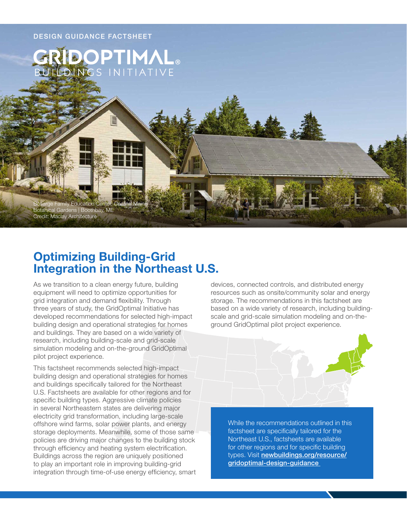

# **Optimizing Building-Grid Integration in the Northeast U.S.**

As we transition to a clean energy future, building equipment will need to optimize opportunities for grid integration and demand flexibility. Through three years of study, the GridOptimal Initiative has developed recommendations for selected high-impact building design and operational strategies for homes and buildings. They are based on a wide variety of research, including building-scale and grid-scale simulation modeling and on-the-ground GridOptimal pilot project experience.

This factsheet recommends selected high-impact building design and operational strategies for homes and buildings specifically tailored for the Northeast U.S. Factsheets are available for other regions and for specific building types. Aggressive climate policies in several Northeastern states are delivering major electricity grid transformation, including large-scale offshore wind farms, solar power plants, and energy storage deployments. Meanwhile, some of those same policies are driving major changes to the building stock through efficiency and heating system electrification. Buildings across the region are uniquely positioned to play an important role in improving building-grid integration through time-of-use energy efficiency, smart

devices, connected controls, and distributed energy resources such as onsite/community solar and energy storage. The recommendations in this factsheet are based on a wide variety of research, including buildingscale and grid-scale simulation modeling and on-theground GridOptimal pilot project experience.



While the recommendations outlined in this factsheet are specifically tailored for the Northeast U.S., factsheets are available for other regions and for specific building types. Visit [newbuildings.org/resource/](https://newbuildings.org/resource/gridoptimal-design-guidance) [gridoptimal-design-guidance](https://newbuildings.org/resource/gridoptimal-design-guidance)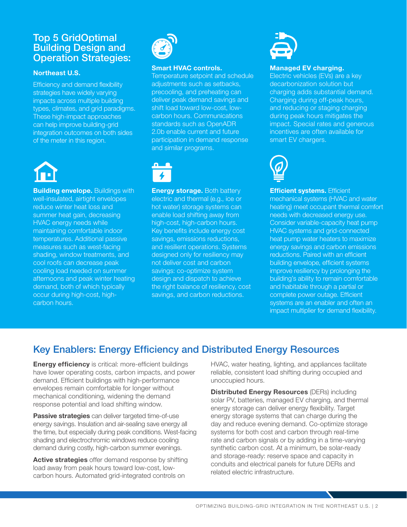### Top 5 GridOptimal Building Design and Operation Strategies:

#### **Northeast U.S.**

Efficiency and demand flexibility strategies have widely varying impacts across multiple building types, climates, and grid paradigms. These high-impact approaches can help improve building-grid integration outcomes on both sides of the meter in this region.



**Building envelope.** Buildings with well-insulated, airtight envelopes reduce winter heat loss and summer heat gain, decreasing HVAC energy needs while maintaining comfortable indoor temperatures. Additional passive measures such as west-facing shading, window treatments, and cool roofs can decrease peak cooling load needed on summer afternoons and peak winter heating demand, both of which typically occur during high-cost, highcarbon hours.



#### **Smart HVAC controls.**

Temperature setpoint and schedule adjustments such as setbacks, precooling, and preheating can deliver peak demand savings and shift load toward low-cost, lowcarbon hours. Communications standards such as OpenADR 2.0b enable current and future participation in demand response and similar programs.



**Energy storage.** Both battery electric and thermal (e.g., ice or hot water) storage systems can enable load shifting away from high-cost, high-carbon hours. Key benefits include energy cost savings, emissions reductions, and resilient operations. Systems designed only for resiliency may not deliver cost and carbon savings: co-optimize system design and dispatch to achieve the right balance of resiliency, cost savings, and carbon reductions.



#### **Managed EV charging.**

Electric vehicles (EVs) are a key decarbonization solution but charging adds substantial demand. Charging during off-peak hours, and reducing or staging charging during peak hours mitigates the impact. Special rates and generous incentives are often available for smart EV chargers.



**Efficient systems.** Efficient mechanical systems (HVAC and water heating) meet occupant thermal comfort needs with decreased energy use. Consider variable-capacity heat pump HVAC systems and grid-connected heat pump water heaters to maximize energy savings and carbon emissions reductions. Paired with an efficient building envelope, efficient systems improve resiliency by prolonging the building's ability to remain comfortable and habitable through a partial or complete power outage. Efficient systems are an enabler and often an impact multiplier for demand flexibility.

# Key Enablers: Energy Efficiency and Distributed Energy Resources

**Energy efficiency** is critical: more-efficient buildings have lower operating costs, carbon impacts, and power demand. Efficient buildings with high-performance envelopes remain comfortable for longer without mechanical conditioning, widening the demand response potential and load shifting window.

**Passive strategies** can deliver targeted time-of-use energy savings. Insulation and air-sealing save energy all the time, but especially during peak conditions. West-facing shading and electrochromic windows reduce cooling demand during costly, high-carbon summer evenings.

**Active strategies** offer demand response by shifting load away from peak hours toward low-cost, lowcarbon hours. Automated grid-integrated controls on

HVAC, water heating, lighting, and appliances facilitate reliable, consistent load shifting during occupied and unoccupied hours.

**Distributed Energy Resources** (DERs) including solar PV, batteries, managed EV charging, and thermal energy storage can deliver energy flexibility. Target energy storage systems that can charge during the day and reduce evening demand. Co-optimize storage systems for both cost and carbon through real-time rate and carbon signals or by adding in a time-varying synthetic carbon cost. At a minimum, be solar-ready and storage-ready: reserve space and capacity in conduits and electrical panels for future DERs and related electric infrastructure.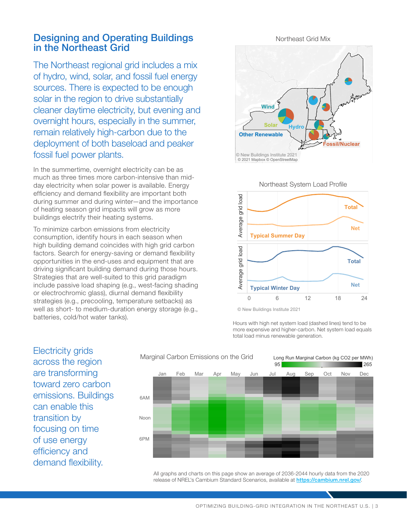### Designing and Operating Buildings in the Northeast Grid

The Northeast regional grid includes a mix of hydro, wind, solar, and fossil fuel energy sources. There is expected to be enough solar in the region to drive substantially cleaner daytime electricity, but evening and overnight hours, especially in the summer, remain relatively high-carbon due to the deployment of both baseload and peaker fossil fuel power plants.

In the summertime, overnight electricity can be as much as three times more carbon-intensive than midday electricity when solar power is available. Energy efficiency and demand flexibility are important both during summer and during winter—and the importance of heating season grid impacts will grow as more buildings electrify their heating systems.

To minimize carbon emissions from electricity consumption, identify hours in each season when high building demand coincides with high grid carbon factors. Search for energy-saving or demand flexibility opportunities in the end-uses and equipment that are driving significant building demand during those hours. Strategies that are well-suited to this grid paradigm include passive load shaping (e.g., west-facing shading or electrochromic glass), diurnal demand flexibility strategies (e.g., precooling, temperature setbacks) as well as short- to medium-duration energy storage (e.g., batteries, cold/hot water tanks).





© New Buildings Institute 2021

Hours with high net system load (dashed lines) tend to be more expensive and higher-carbon. Net system load equals total load minus renewable generation.

Electricity grids across the region are transforming toward zero carbon emissions. Buildings can enable this transition by focusing on time of use energy efficiency and demand flexibility.



All graphs and charts on this page show an average of 2036-2044 hourly data from the 2020 release of NREL's Cambium Standard Scenarios, available at <https://cambium.nrel.gov/>.